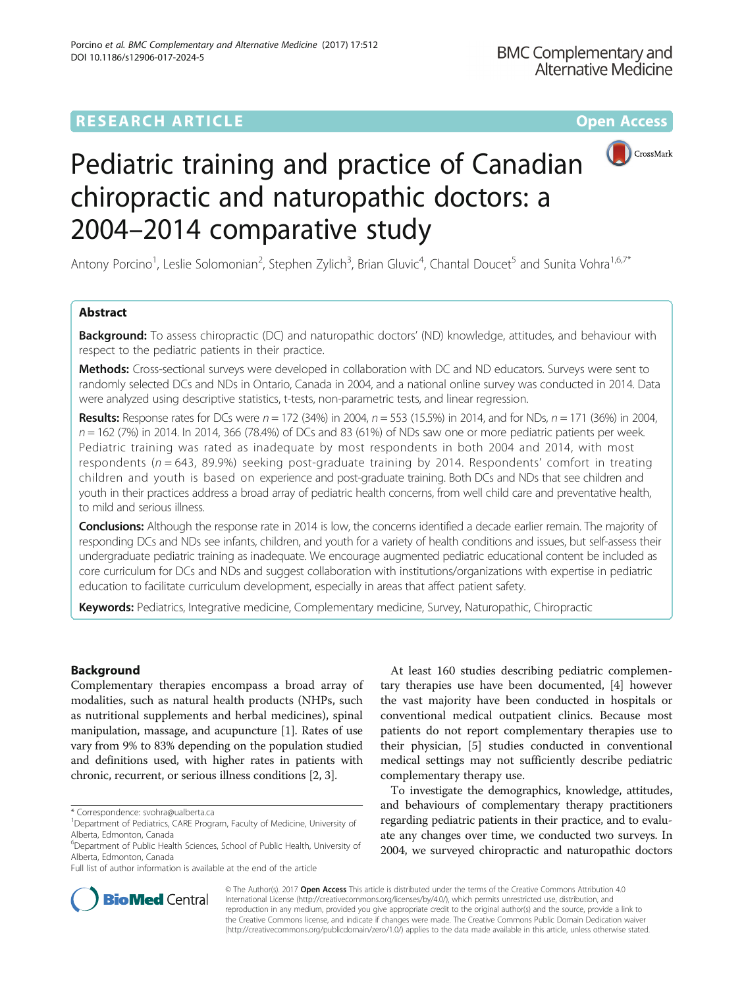# **RESEARCH ARTICLE External Structure Community Community Community Community Community Community Community Community**



# Pediatric training and practice of Canadian chiropractic and naturopathic doctors: a 2004–2014 comparative study

Antony Porcino<sup>1</sup>, Leslie Solomonian<sup>2</sup>, Stephen Zylich<sup>3</sup>, Brian Gluvic<sup>4</sup>, Chantal Doucet<sup>5</sup> and Sunita Vohra<sup>1,6,7\*</sup>

# Abstract

**Background:** To assess chiropractic (DC) and naturopathic doctors' (ND) knowledge, attitudes, and behaviour with respect to the pediatric patients in their practice.

Methods: Cross-sectional surveys were developed in collaboration with DC and ND educators. Surveys were sent to randomly selected DCs and NDs in Ontario, Canada in 2004, and a national online survey was conducted in 2014. Data were analyzed using descriptive statistics, t-tests, non-parametric tests, and linear regression.

**Results:** Response rates for DCs were  $n = 172$  (34%) in 2004,  $n = 553$  (15.5%) in 2014, and for NDs,  $n = 171$  (36%) in 2004,  $n = 162$  (7%) in 2014. In 2014, 366 (78.4%) of DCs and 83 (61%) of NDs saw one or more pediatric patients per week. Pediatric training was rated as inadequate by most respondents in both 2004 and 2014, with most respondents ( $n = 643$ , 89.9%) seeking post-graduate training by 2014. Respondents' comfort in treating children and youth is based on experience and post-graduate training. Both DCs and NDs that see children and youth in their practices address a broad array of pediatric health concerns, from well child care and preventative health, to mild and serious illness.

**Conclusions:** Although the response rate in 2014 is low, the concerns identified a decade earlier remain. The majority of responding DCs and NDs see infants, children, and youth for a variety of health conditions and issues, but self-assess their undergraduate pediatric training as inadequate. We encourage augmented pediatric educational content be included as core curriculum for DCs and NDs and suggest collaboration with institutions/organizations with expertise in pediatric education to facilitate curriculum development, especially in areas that affect patient safety.

Keywords: Pediatrics, Integrative medicine, Complementary medicine, Survey, Naturopathic, Chiropractic

# Background

Complementary therapies encompass a broad array of modalities, such as natural health products (NHPs, such as nutritional supplements and herbal medicines), spinal manipulation, massage, and acupuncture [\[1](#page-7-0)]. Rates of use vary from 9% to 83% depending on the population studied and definitions used, with higher rates in patients with chronic, recurrent, or serious illness conditions [[2](#page-7-0), [3\]](#page-7-0).

Full list of author information is available at the end of the article

At least 160 studies describing pediatric complementary therapies use have been documented, [[4\]](#page-7-0) however the vast majority have been conducted in hospitals or conventional medical outpatient clinics. Because most patients do not report complementary therapies use to their physician, [[5\]](#page-7-0) studies conducted in conventional medical settings may not sufficiently describe pediatric complementary therapy use.

To investigate the demographics, knowledge, attitudes, and behaviours of complementary therapy practitioners regarding pediatric patients in their practice, and to evaluate any changes over time, we conducted two surveys. In 2004, we surveyed chiropractic and naturopathic doctors



© The Author(s). 2017 **Open Access** This article is distributed under the terms of the Creative Commons Attribution 4.0 International License [\(http://creativecommons.org/licenses/by/4.0/](http://creativecommons.org/licenses/by/4.0/)), which permits unrestricted use, distribution, and reproduction in any medium, provided you give appropriate credit to the original author(s) and the source, provide a link to the Creative Commons license, and indicate if changes were made. The Creative Commons Public Domain Dedication waiver [\(http://creativecommons.org/publicdomain/zero/1.0/](http://creativecommons.org/publicdomain/zero/1.0/)) applies to the data made available in this article, unless otherwise stated.

<sup>\*</sup> Correspondence: [svohra@ualberta.ca](mailto:svohra@ualberta.ca) <sup>1</sup>

<sup>&</sup>lt;sup>1</sup>Department of Pediatrics, CARE Program, Faculty of Medicine, University of Alberta, Edmonton, Canada

<sup>&</sup>lt;sup>6</sup>Department of Public Health Sciences, School of Public Health, University of Alberta, Edmonton, Canada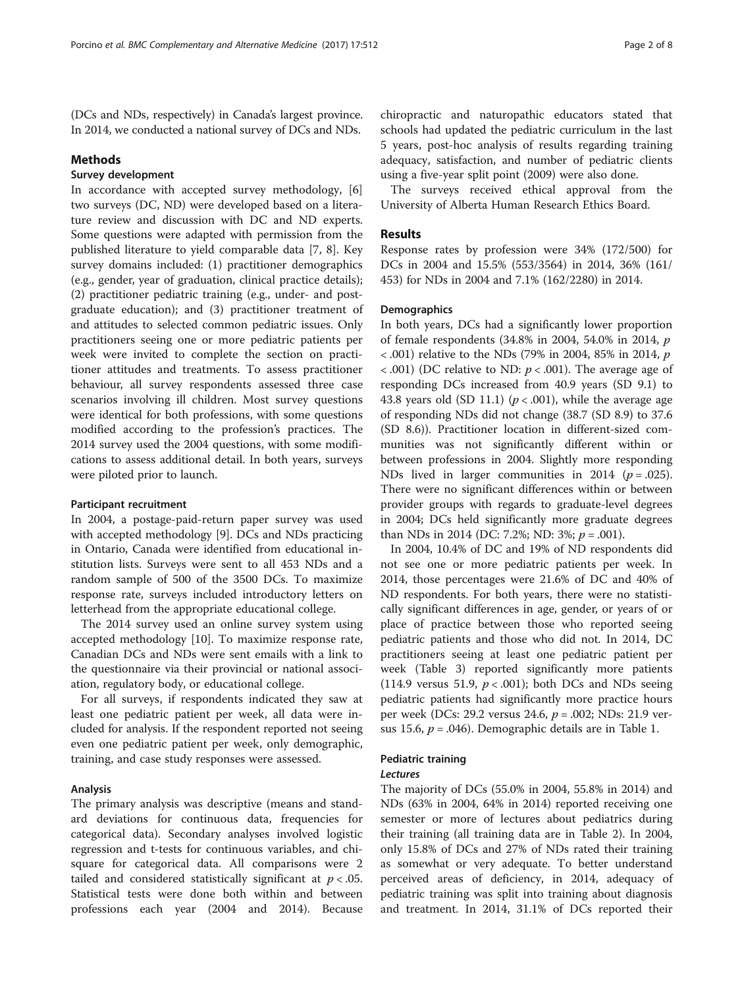(DCs and NDs, respectively) in Canada's largest province. In 2014, we conducted a national survey of DCs and NDs.

#### Methods

# Survey development

In accordance with accepted survey methodology, [\[6](#page-7-0)] two surveys (DC, ND) were developed based on a literature review and discussion with DC and ND experts. Some questions were adapted with permission from the published literature to yield comparable data [[7, 8](#page-7-0)]. Key survey domains included: (1) practitioner demographics (e.g., gender, year of graduation, clinical practice details); (2) practitioner pediatric training (e.g., under- and postgraduate education); and (3) practitioner treatment of and attitudes to selected common pediatric issues. Only practitioners seeing one or more pediatric patients per week were invited to complete the section on practitioner attitudes and treatments. To assess practitioner behaviour, all survey respondents assessed three case scenarios involving ill children. Most survey questions were identical for both professions, with some questions modified according to the profession's practices. The 2014 survey used the 2004 questions, with some modifications to assess additional detail. In both years, surveys were piloted prior to launch.

## Participant recruitment

In 2004, a postage-paid-return paper survey was used with accepted methodology [\[9\]](#page-7-0). DCs and NDs practicing in Ontario, Canada were identified from educational institution lists. Surveys were sent to all 453 NDs and a random sample of 500 of the 3500 DCs. To maximize response rate, surveys included introductory letters on letterhead from the appropriate educational college.

The 2014 survey used an online survey system using accepted methodology [\[10\]](#page-7-0). To maximize response rate, Canadian DCs and NDs were sent emails with a link to the questionnaire via their provincial or national association, regulatory body, or educational college.

For all surveys, if respondents indicated they saw at least one pediatric patient per week, all data were included for analysis. If the respondent reported not seeing even one pediatric patient per week, only demographic, training, and case study responses were assessed.

## Analysis

The primary analysis was descriptive (means and standard deviations for continuous data, frequencies for categorical data). Secondary analyses involved logistic regression and t-tests for continuous variables, and chisquare for categorical data. All comparisons were 2 tailed and considered statistically significant at  $p < .05$ . Statistical tests were done both within and between professions each year (2004 and 2014). Because chiropractic and naturopathic educators stated that schools had updated the pediatric curriculum in the last 5 years, post-hoc analysis of results regarding training adequacy, satisfaction, and number of pediatric clients using a five-year split point (2009) were also done.

The surveys received ethical approval from the University of Alberta Human Research Ethics Board.

#### Results

Response rates by profession were 34% (172/500) for DCs in 2004 and 15.5% (553/3564) in 2014, 36% (161/ 453) for NDs in 2004 and 7.1% (162/2280) in 2014.

#### **Demographics**

In both years, DCs had a significantly lower proportion of female respondents (34.8% in 2004, 54.0% in 2014, p  $<$  0.01) relative to the NDs (79% in 2004, 85% in 2014,  $p$  $< .001$ ) (DC relative to ND:  $p < .001$ ). The average age of responding DCs increased from 40.9 years (SD 9.1) to 43.8 years old (SD 11.1) ( $p < .001$ ), while the average age of responding NDs did not change (38.7 (SD 8.9) to 37.6 (SD 8.6)). Practitioner location in different-sized communities was not significantly different within or between professions in 2004. Slightly more responding NDs lived in larger communities in 2014 ( $p = .025$ ). There were no significant differences within or between provider groups with regards to graduate-level degrees in 2004; DCs held significantly more graduate degrees than NDs in 2014 (DC: 7.2%; ND: 3%;  $p = .001$ ).

In 2004, 10.4% of DC and 19% of ND respondents did not see one or more pediatric patients per week. In 2014, those percentages were 21.6% of DC and 40% of ND respondents. For both years, there were no statistically significant differences in age, gender, or years of or place of practice between those who reported seeing pediatric patients and those who did not. In 2014, DC practitioners seeing at least one pediatric patient per week (Table [3\)](#page-5-0) reported significantly more patients (114.9 versus 51.9,  $p < .001$ ); both DCs and NDs seeing pediatric patients had significantly more practice hours per week (DCs: 29.2 versus 24.6, p = .002; NDs: 21.9 versus 15.6,  $p = .046$ ). Demographic details are in Table [1.](#page-2-0)

## Pediatric training

# Lectures

The majority of DCs (55.0% in 2004, 55.8% in 2014) and NDs (63% in 2004, 64% in 2014) reported receiving one semester or more of lectures about pediatrics during their training (all training data are in Table [2](#page-3-0)). In 2004, only 15.8% of DCs and 27% of NDs rated their training as somewhat or very adequate. To better understand perceived areas of deficiency, in 2014, adequacy of pediatric training was split into training about diagnosis and treatment. In 2014, 31.1% of DCs reported their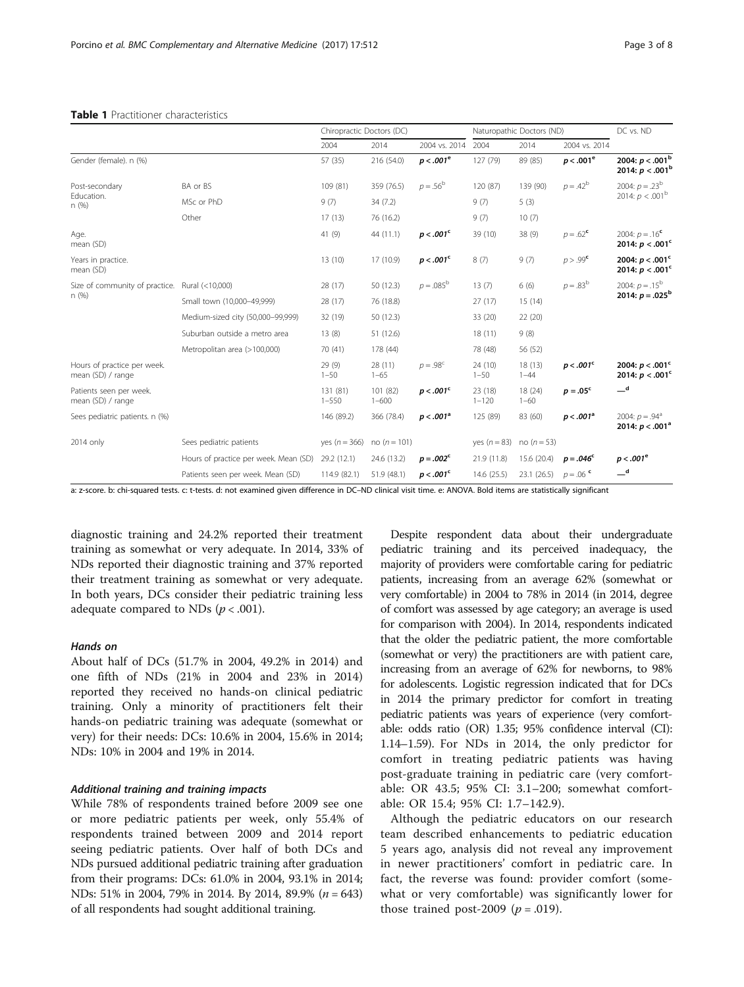|                                                  |                                       | Chiropractic Doctors (DC) |                       |                    | Naturopathic Doctors (ND) |                     |                      | DC vs. ND                                           |
|--------------------------------------------------|---------------------------------------|---------------------------|-----------------------|--------------------|---------------------------|---------------------|----------------------|-----------------------------------------------------|
|                                                  |                                       | 2004                      | 2014                  | 2004 vs. 2014      | 2004                      | 2014                | 2004 vs. 2014        |                                                     |
| Gender (female). n (%)                           |                                       | 57 (35)                   | 216 (54.0)            | $p < .001^e$       | 127 (79)                  | 89 (85)             | $p < .001^e$         | 2004: $p < .001$ <sup>b</sup><br>2014: $p < .001^b$ |
| Post-secondary<br>Education.<br>n (%)            | BA or BS                              | 109 (81)                  | 359 (76.5)            | $p = .56^{\rm b}$  | 120 (87)                  | 139 (90)            | $p = .42^b$          | 2004: $p = .23^b$<br>2014: $p < .001^{\rm b}$       |
|                                                  | MSc or PhD                            | 9(7)                      | 34(7.2)               |                    | 9(7)                      | 5(3)                |                      |                                                     |
|                                                  | Other                                 | 17(13)                    | 76 (16.2)             |                    | 9(7)                      | 10(7)               |                      |                                                     |
| Age.<br>mean (SD)                                |                                       | 41(9)                     | 44 (11.1)             | $p < .001^{\circ}$ | 39 (10)                   | 38 (9)              | $p = .62^{\circ}$    | 2004: $p = .16^c$<br>2014: $p < .001^c$             |
| Years in practice.<br>mean (SD)                  |                                       | 13(10)                    | 17 (10.9)             | $p < .001^c$       | 8(7)                      | 9(7)                | p > .99 <sup>c</sup> | 2004: $p < .001^c$<br>2014: $p < .001^c$            |
| Size of community of practice.                   | Rural (<10,000)                       | 28 (17)                   | 50 (12.3)             | $p = .085^{\rm b}$ | 13(7)                     | 6(6)                | $p = .83^{\rm b}$    | 2004: $p = .15^{\rm b}$<br>2014: $p = .025^b$       |
| n (%)                                            | Small town (10,000-49,999)            | 28 (17)                   | 76 (18.8)             |                    | 27(17)                    | 15(14)              |                      |                                                     |
|                                                  | Medium-sized city (50,000-99,999)     | 32 (19)                   | 50 (12.3)             |                    | 33 (20)                   | 22(20)              |                      |                                                     |
|                                                  | Suburban outside a metro area         | 13(8)                     | 51 (12.6)             |                    | 18(11)                    | 9(8)                |                      |                                                     |
|                                                  | Metropolitan area (>100,000)          | 70 (41)                   | 178 (44)              |                    | 78 (48)                   | 56 (52)             |                      |                                                     |
| Hours of practice per week.<br>mean (SD) / range |                                       | 29(9)<br>$1 - 50$         | 28(11)<br>$1 - 65$    | $p = .98^c$        | 24 (10)<br>$1 - 50$       | 18(13)<br>$1 - 44$  | $p < .001^c$         | 2004: $p < .001^c$<br>2014: $p < .001^c$            |
| Patients seen per week.<br>mean (SD) / range     |                                       | 131 (81)<br>$1 - 550$     | 101 (82)<br>$1 - 600$ | $p < .001^{\circ}$ | 23 (18)<br>$1 - 120$      | 18 (24)<br>$1 - 60$ | $p = .05^{\circ}$    | $-d$                                                |
| Sees pediatric patients. n (%)                   |                                       | 146 (89.2)                | 366 (78.4)            | $p < .001^a$       | 125 (89)                  | 83 (60)             | $p < .001^a$         | 2004: $p = .94^a$<br>2014: $p < .001^a$             |
| 2014 only                                        | Sees pediatric patients               | yes $(n = 366)$           | no ( $n = 101$ )      |                    | yes $(n = 83)$            | no ( $n = 53$ )     |                      |                                                     |
|                                                  | Hours of practice per week. Mean (SD) | 29.2 (12.1)               | 24.6 (13.2)           | $p = .002^{\circ}$ | 21.9 (11.8)               | 15.6 (20.4)         | $p = .046^{\circ}$   | $p < .001^e$                                        |
|                                                  | Patients seen per week. Mean (SD)     | 114.9 (82.1)              | 51.9 (48.1)           | $p < .001^{\circ}$ | 14.6 (25.5)               | 23.1(26.5)          | $p = 0.06$           | $-d$                                                |

#### <span id="page-2-0"></span>Table 1 Practitioner characteristics

a: z-score. b: chi-squared tests. c: t-tests. d: not examined given difference in DC–ND clinical visit time. e: ANOVA. Bold items are statistically significant

diagnostic training and 24.2% reported their treatment training as somewhat or very adequate. In 2014, 33% of NDs reported their diagnostic training and 37% reported their treatment training as somewhat or very adequate. In both years, DCs consider their pediatric training less adequate compared to NDs ( $p < .001$ ).

## Hands on

About half of DCs (51.7% in 2004, 49.2% in 2014) and one fifth of NDs (21% in 2004 and 23% in 2014) reported they received no hands-on clinical pediatric training. Only a minority of practitioners felt their hands-on pediatric training was adequate (somewhat or very) for their needs: DCs: 10.6% in 2004, 15.6% in 2014; NDs: 10% in 2004 and 19% in 2014.

# Additional training and training impacts

While 78% of respondents trained before 2009 see one or more pediatric patients per week, only 55.4% of respondents trained between 2009 and 2014 report seeing pediatric patients. Over half of both DCs and NDs pursued additional pediatric training after graduation from their programs: DCs: 61.0% in 2004, 93.1% in 2014; NDs: 51% in 2004, 79% in 2014. By 2014, 89.9% (*n* = 643) of all respondents had sought additional training.

Despite respondent data about their undergraduate pediatric training and its perceived inadequacy, the majority of providers were comfortable caring for pediatric patients, increasing from an average 62% (somewhat or very comfortable) in 2004 to 78% in 2014 (in 2014, degree of comfort was assessed by age category; an average is used for comparison with 2004). In 2014, respondents indicated that the older the pediatric patient, the more comfortable (somewhat or very) the practitioners are with patient care, increasing from an average of 62% for newborns, to 98% for adolescents. Logistic regression indicated that for DCs in 2014 the primary predictor for comfort in treating pediatric patients was years of experience (very comfortable: odds ratio (OR) 1.35; 95% confidence interval (CI): 1.14–1.59). For NDs in 2014, the only predictor for comfort in treating pediatric patients was having post-graduate training in pediatric care (very comfortable: OR 43.5; 95% CI: 3.1–200; somewhat comfortable: OR 15.4; 95% CI: 1.7–142.9).

Although the pediatric educators on our research team described enhancements to pediatric education 5 years ago, analysis did not reveal any improvement in newer practitioners' comfort in pediatric care. In fact, the reverse was found: provider comfort (somewhat or very comfortable) was significantly lower for those trained post-2009 ( $p = .019$ ).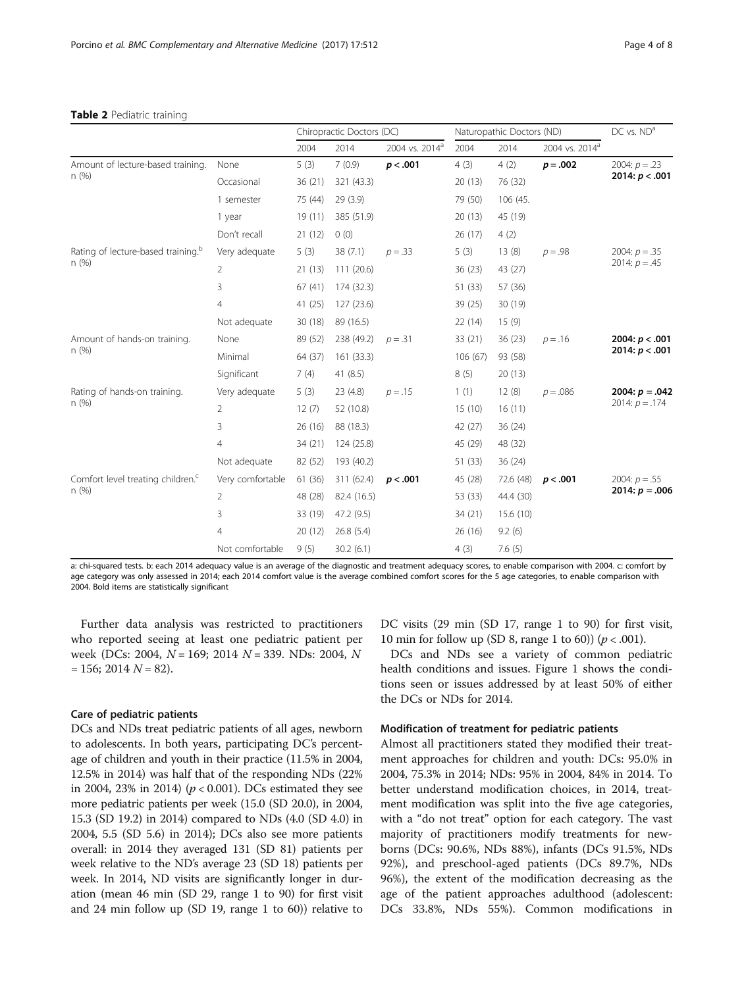#### <span id="page-3-0"></span>Table 2 Pediatric training

|                                                |                  | Chiropractic Doctors (DC) |             | Naturopathic Doctors (ND)  |         |           | $DC$ vs. $NDa$             |                                      |
|------------------------------------------------|------------------|---------------------------|-------------|----------------------------|---------|-----------|----------------------------|--------------------------------------|
|                                                |                  | 2004                      | 2014        | 2004 vs. 2014 <sup>a</sup> | 2004    | 2014      | 2004 vs. 2014 <sup>a</sup> |                                      |
| Amount of lecture-based training.<br>n(%)      | None             | 5(3)                      | 7(0.9)      | p < .001                   | 4(3)    | 4(2)      | $p = .002$                 | 2004: $p = .23$<br>2014: $p < .001$  |
|                                                | Occasional       | 36(21)                    | 321 (43.3)  |                            | 20(13)  | 76 (32)   |                            |                                      |
|                                                | 1 semester       | 75 (44)                   | 29(3.9)     |                            | 79 (50) | 106 (45.  |                            |                                      |
|                                                | 1 year           | 19(11)                    | 385 (51.9)  |                            | 20(13)  | 45 (19)   |                            |                                      |
|                                                | Don't recall     | 21(12)                    | 0(0)        |                            | 26(17)  | 4(2)      |                            |                                      |
| Rating of lecture-based training. <sup>b</sup> | Very adequate    | 5(3)                      | 38(7.1)     | $p = .33$                  | 5(3)    | 13(8)     | $p = .98$                  | 2004: $p = 0.35$<br>2014: $p = .45$  |
| n(%)                                           | 2                | 21(13)                    | 111(20.6)   |                            | 36(23)  | 43 (27)   |                            |                                      |
|                                                | 3                | 67(41)                    | 174 (32.3)  |                            | 51 (33) | 57 (36)   |                            |                                      |
|                                                | 4                | 41(25)                    | 127(23.6)   |                            | 39 (25) | 30 (19)   |                            |                                      |
|                                                | Not adequate     | 30(18)                    | 89 (16.5)   |                            | 22(14)  | 15(9)     |                            |                                      |
| Amount of hands-on training.                   | None             | 89 (52)                   | 238 (49.2)  | $p = .31$                  | 33(21)  | 36(23)    | $p = .16$                  | 2004: $p < .001$<br>2014: $p < .001$ |
| n(%)                                           | Minimal          | 64 (37)                   | 161(33.3)   |                            | 106(67) | 93 (58)   |                            |                                      |
|                                                | Significant      | 7(4)                      | 41 $(8.5)$  |                            | 8(5)    | 20(13)    |                            |                                      |
| Rating of hands-on training.                   | Very adequate    | 5(3)                      | 23 (4.8)    | $p = .15$                  | 1(1)    | 12(8)     | $p = .086$                 | 2004: $p = .042$<br>2014: $p = .174$ |
| n(%)                                           | $\overline{2}$   | 12(7)                     | 52 (10.8)   |                            | 15(10)  | 16(11)    |                            |                                      |
|                                                | 3                | 26(16)                    | 88 (18.3)   |                            | 42 (27) | 36(24)    |                            |                                      |
|                                                | 4                | 34(21)                    | 124 (25.8)  |                            | 45 (29) | 48 (32)   |                            |                                      |
|                                                | Not adequate     | 82 (52)                   | 193 (40.2)  |                            | 51 (33) | 36(24)    |                            |                                      |
| Comfort level treating children. <sup>c</sup>  | Very comfortable | 61 (36)                   | 311 (62.4)  | p < .001                   | 45 (28) | 72.6 (48) | p < .001                   | 2004: $p = .55$<br>2014: $p = .006$  |
| n(%)                                           | 2                | 48 (28)                   | 82.4 (16.5) |                            | 53 (33) | 44.4 (30) |                            |                                      |
|                                                | 3                | 33 (19)                   | 47.2 (9.5)  |                            | 34(21)  | 15.6 (10) |                            |                                      |
|                                                | $\overline{4}$   | 20(12)                    | 26.8(5.4)   |                            | 26 (16) | 9.2(6)    |                            |                                      |
|                                                | Not comfortable  | 9(5)                      | 30.2(6.1)   |                            | 4(3)    | 7.6(5)    |                            |                                      |

a: chi-squared tests. b: each 2014 adequacy value is an average of the diagnostic and treatment adequacy scores, to enable comparison with 2004. c: comfort by age category was only assessed in 2014; each 2014 comfort value is the average combined comfort scores for the 5 age categories, to enable comparison with 2004. Bold items are statistically significant

Further data analysis was restricted to practitioners who reported seeing at least one pediatric patient per week (DCs: 2004,  $N = 169$ ; 2014  $N = 339$ . NDs: 2004, N  $= 156$ ; 2014  $N = 82$ ).

## Care of pediatric patients

DCs and NDs treat pediatric patients of all ages, newborn to adolescents. In both years, participating DC's percentage of children and youth in their practice (11.5% in 2004, 12.5% in 2014) was half that of the responding NDs (22% in 2004, 23% in 2014) ( $p < 0.001$ ). DCs estimated they see more pediatric patients per week (15.0 (SD 20.0), in 2004, 15.3 (SD 19.2) in 2014) compared to NDs (4.0 (SD 4.0) in 2004, 5.5 (SD 5.6) in 2014); DCs also see more patients overall: in 2014 they averaged 131 (SD 81) patients per week relative to the ND's average 23 (SD 18) patients per week. In 2014, ND visits are significantly longer in duration (mean 46 min (SD 29, range 1 to 90) for first visit and 24 min follow up (SD 19, range 1 to 60)) relative to DC visits (29 min (SD 17, range 1 to 90) for first visit, 10 min for follow up (SD 8, range 1 to 60)) ( $p < .001$ ).

DCs and NDs see a variety of common pediatric health conditions and issues. Figure [1](#page-4-0) shows the conditions seen or issues addressed by at least 50% of either the DCs or NDs for 2014.

#### Modification of treatment for pediatric patients

Almost all practitioners stated they modified their treatment approaches for children and youth: DCs: 95.0% in 2004, 75.3% in 2014; NDs: 95% in 2004, 84% in 2014. To better understand modification choices, in 2014, treatment modification was split into the five age categories, with a "do not treat" option for each category. The vast majority of practitioners modify treatments for newborns (DCs: 90.6%, NDs 88%), infants (DCs 91.5%, NDs 92%), and preschool-aged patients (DCs 89.7%, NDs 96%), the extent of the modification decreasing as the age of the patient approaches adulthood (adolescent: DCs 33.8%, NDs 55%). Common modifications in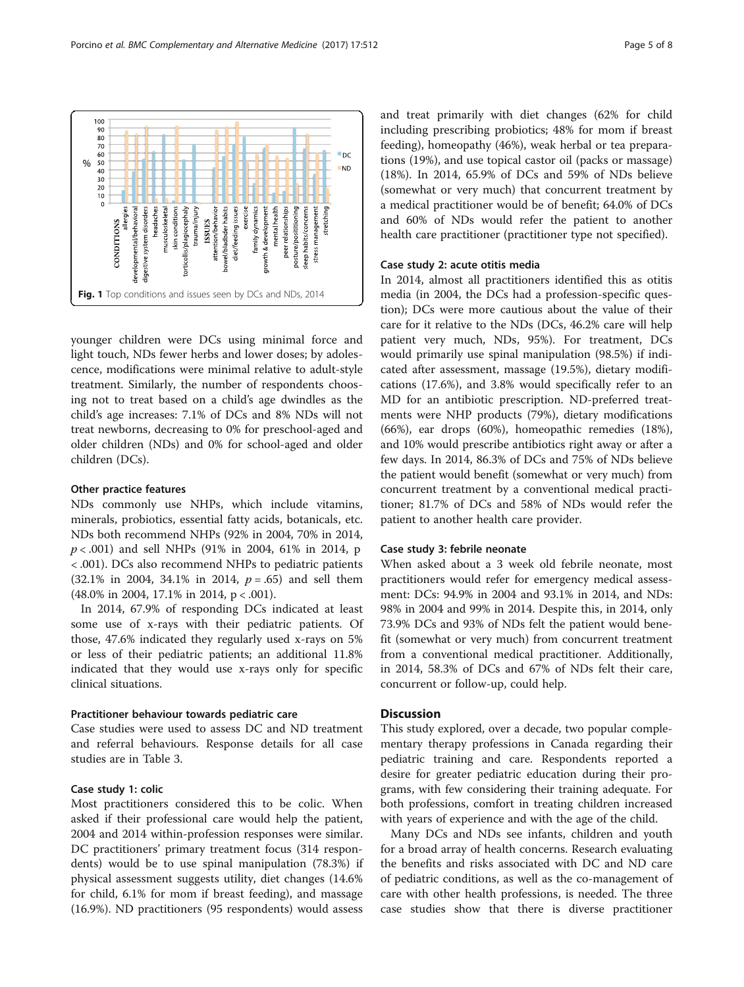younger children were DCs using minimal force and light touch, NDs fewer herbs and lower doses; by adolescence, modifications were minimal relative to adult-style treatment. Similarly, the number of respondents choosing not to treat based on a child's age dwindles as the child's age increases: 7.1% of DCs and 8% NDs will not treat newborns, decreasing to 0% for preschool-aged and older children (NDs) and 0% for school-aged and older children (DCs).

## Other practice features

NDs commonly use NHPs, which include vitamins, minerals, probiotics, essential fatty acids, botanicals, etc. NDs both recommend NHPs (92% in 2004, 70% in 2014,  $p < .001$ ) and sell NHPs (91% in 2004, 61% in 2014, p < .001). DCs also recommend NHPs to pediatric patients  $(32.1\% \text{ in } 2004, 34.1\% \text{ in } 2014, p = .65)$  and sell them (48.0% in 2004, 17.1% in 2014, p < .001).

In 2014, 67.9% of responding DCs indicated at least some use of x-rays with their pediatric patients. Of those, 47.6% indicated they regularly used x-rays on 5% or less of their pediatric patients; an additional 11.8% indicated that they would use x-rays only for specific clinical situations.

# Practitioner behaviour towards pediatric care

Case studies were used to assess DC and ND treatment and referral behaviours. Response details for all case studies are in Table [3](#page-5-0).

# Case study 1: colic

Most practitioners considered this to be colic. When asked if their professional care would help the patient, 2004 and 2014 within-profession responses were similar. DC practitioners' primary treatment focus (314 respondents) would be to use spinal manipulation (78.3%) if physical assessment suggests utility, diet changes (14.6% for child, 6.1% for mom if breast feeding), and massage (16.9%). ND practitioners (95 respondents) would assess and treat primarily with diet changes (62% for child including prescribing probiotics; 48% for mom if breast feeding), homeopathy (46%), weak herbal or tea preparations (19%), and use topical castor oil (packs or massage) (18%). In 2014, 65.9% of DCs and 59% of NDs believe (somewhat or very much) that concurrent treatment by a medical practitioner would be of benefit; 64.0% of DCs and 60% of NDs would refer the patient to another health care practitioner (practitioner type not specified).

## Case study 2: acute otitis media

In 2014, almost all practitioners identified this as otitis media (in 2004, the DCs had a profession-specific question); DCs were more cautious about the value of their care for it relative to the NDs (DCs, 46.2% care will help patient very much, NDs, 95%). For treatment, DCs would primarily use spinal manipulation (98.5%) if indicated after assessment, massage (19.5%), dietary modifications (17.6%), and 3.8% would specifically refer to an MD for an antibiotic prescription. ND-preferred treatments were NHP products (79%), dietary modifications (66%), ear drops (60%), homeopathic remedies (18%), and 10% would prescribe antibiotics right away or after a few days. In 2014, 86.3% of DCs and 75% of NDs believe the patient would benefit (somewhat or very much) from concurrent treatment by a conventional medical practitioner; 81.7% of DCs and 58% of NDs would refer the patient to another health care provider.

#### Case study 3: febrile neonate

When asked about a 3 week old febrile neonate, most practitioners would refer for emergency medical assessment: DCs: 94.9% in 2004 and 93.1% in 2014, and NDs: 98% in 2004 and 99% in 2014. Despite this, in 2014, only 73.9% DCs and 93% of NDs felt the patient would benefit (somewhat or very much) from concurrent treatment from a conventional medical practitioner. Additionally, in 2014, 58.3% of DCs and 67% of NDs felt their care, concurrent or follow-up, could help.

# **Discussion**

This study explored, over a decade, two popular complementary therapy professions in Canada regarding their pediatric training and care. Respondents reported a desire for greater pediatric education during their programs, with few considering their training adequate. For both professions, comfort in treating children increased with years of experience and with the age of the child.

Many DCs and NDs see infants, children and youth for a broad array of health concerns. Research evaluating the benefits and risks associated with DC and ND care of pediatric conditions, as well as the co-management of care with other health professions, is needed. The three case studies show that there is diverse practitioner

<span id="page-4-0"></span>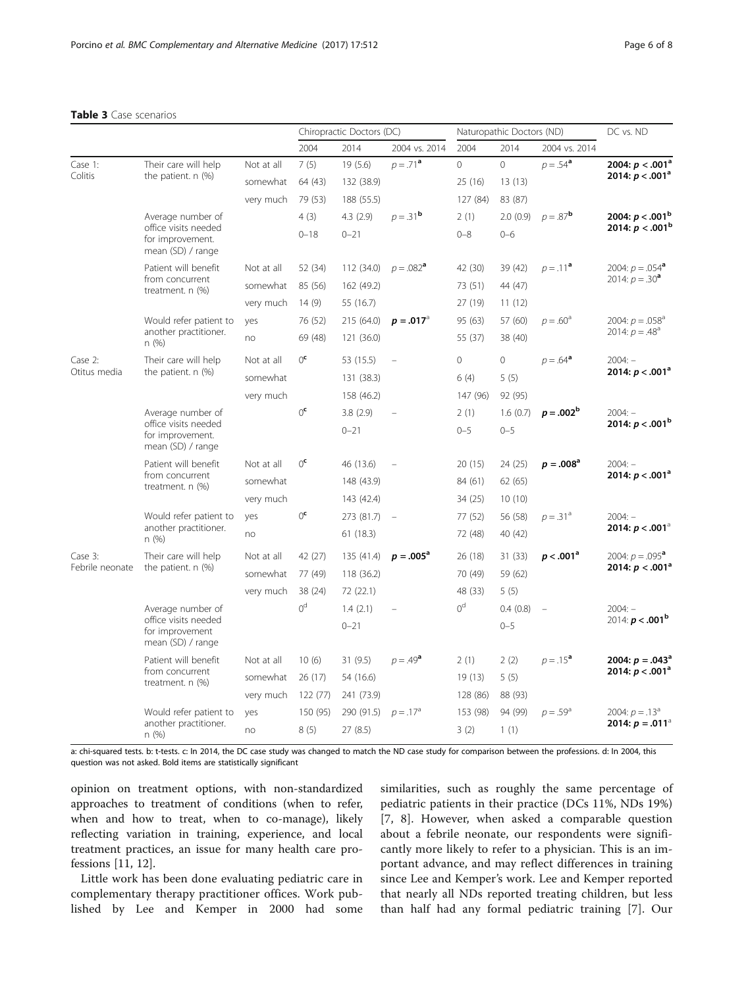## <span id="page-5-0"></span>Table 3 Case scenarios

|                            |                                                                                    |            | Chiropractic Doctors (DC) |            |                    |                | Naturopathic Doctors (ND) | DC vs. ND         |                                          |
|----------------------------|------------------------------------------------------------------------------------|------------|---------------------------|------------|--------------------|----------------|---------------------------|-------------------|------------------------------------------|
|                            |                                                                                    |            | 2004                      | 2014       | 2004 vs. 2014      | 2004           | 2014                      | 2004 vs. 2014     |                                          |
| Case 1:<br>Colitis         | Their care will help<br>the patient. $n$ $(\%)$                                    | Not at all | 7(5)                      | 19(5.6)    | $p = 71^a$         | $\overline{0}$ | $\overline{0}$            | $p = .54^a$       | 2004: $p < .001^a$<br>2014: $p < .001^a$ |
|                            |                                                                                    | somewhat   | 64 (43)                   | 132 (38.9) |                    | 25 (16)        | 13(13)                    |                   |                                          |
|                            |                                                                                    | very much  | 79 (53)                   | 188 (55.5) |                    | 127 (84)       | 83 (87)                   |                   |                                          |
|                            | Average number of<br>office visits needed<br>for improvement.<br>mean (SD) / range |            | 4(3)                      | 4.3(2.9)   | $p = .31^{\rm b}$  | 2(1)           | 2.0(0.9)                  | $p = .87^b$       | 2004: $p < .001$ <sup>b</sup>            |
|                            |                                                                                    |            | $0 - 18$                  | $0 - 21$   |                    | $0 - 8$        | $0 - 6$                   |                   | 2014: $p < .001^b$                       |
|                            | Patient will benefit<br>from concurrent<br>treatment. $n$ $(\%)$                   | Not at all | 52 (34)                   | 112 (34.0) | $p = .082^{\circ}$ | 42 (30)        | 39 (42)                   | $p = .11^a$       | 2004: $p = .054^a$<br>2014: $p = .30^a$  |
|                            |                                                                                    | somewhat   | 85 (56)                   | 162 (49.2) |                    | 73 (51)        | 44 (47)                   |                   |                                          |
|                            |                                                                                    | very much  | 14(9)                     | 55 (16.7)  |                    | 27 (19)        | 11(12)                    |                   |                                          |
|                            | Would refer patient to<br>another practitioner.<br>n(%)                            | yes        | 76 (52)                   | 215 (64.0) | $p = .017^{\circ}$ | 95 (63)        | 57 (60)                   | $p = .60^a$       | 2004: $p = .058^a$<br>2014: $p = .48^a$  |
|                            |                                                                                    | no         | 69 (48)                   | 121 (36.0) |                    | 55 (37)        | 38 (40)                   |                   |                                          |
| Case 2:<br>Otitus media    | Their care will help<br>the patient. $n$ $(\%)$                                    | Not at all | 0 <sup>c</sup>            | 53 (15.5)  |                    | 0              | 0                         | $p = .64^a$       | $2004: -$                                |
|                            |                                                                                    | somewhat   |                           | 131 (38.3) |                    | 6(4)           | 5(5)                      |                   | 2014: $p < .001^a$                       |
|                            |                                                                                    | very much  |                           | 158 (46.2) |                    | 147 (96)       | 92 (95)                   |                   |                                          |
|                            | Average number of<br>office visits needed<br>for improvement.<br>mean (SD) / range |            | 0 <sup>c</sup>            | 3.8(2.9)   |                    | 2(1)           | 1.6(0.7)                  | $p = .002^b$      | $2004: -$                                |
|                            |                                                                                    |            |                           | $0 - 21$   |                    | $0 - 5$        | $0 - 5$                   |                   | 2014: $p < .001^b$                       |
|                            | Patient will benefit<br>from concurrent<br>treatment. $n$ $(\%)$                   | Not at all | 0 <sup>c</sup>            | 46 (13.6)  |                    | 20(15)         | 24 (25)                   | $p = .008^a$      | $2004: -$                                |
|                            |                                                                                    | somewhat   |                           | 148 (43.9) |                    | 84 (61)        | 62(65)                    |                   | 2014: $p < .001a$                        |
|                            |                                                                                    | very much  |                           | 143 (42.4) |                    | 34 (25)        | 10(10)                    |                   |                                          |
|                            | Would refer patient to<br>another practitioner.<br>n(%)                            | yes        | 0 <sup>c</sup>            | 273 (81.7) | $\equiv$           | 77 (52)        | 56 (58)                   | $p=.31d$          | $2004: -$                                |
|                            |                                                                                    | no         |                           | 61(18.3)   |                    | 72 (48)        | 40 (42)                   |                   | 2014: $p < .001$ <sup>a</sup>            |
| Case 3:<br>Febrile neonate | Their care will help<br>the patient. n (%)                                         | Not at all | 42 (27)                   | 135 (41.4) | $p = .005^{\rm a}$ | 26 (18)        | 31(33)                    | $p < .001^a$      | 2004: $p = .095^a$                       |
|                            |                                                                                    | somewhat   | 77 (49)                   | 118 (36.2) |                    | 70 (49)        | 59 (62)                   |                   | 2014: $p < .001^a$                       |
|                            |                                                                                    | very much  | 38 (24)                   | 72 (22.1)  |                    | 48 (33)        | 5(5)                      |                   |                                          |
|                            | Average number of<br>office visits needed<br>for improvement<br>mean (SD) / range  |            | 0 <sup>d</sup>            | 1.4(2.1)   |                    | 0 <sup>d</sup> | 0.4(0.8)                  |                   | $2004: -$                                |
|                            |                                                                                    |            |                           | $0 - 21$   |                    |                | $0 - 5$                   |                   | 2014: $p < .001^{\rm b}$                 |
|                            | Patient will benefit<br>from concurrent<br>treatment. n (%)                        | Not at all | 10(6)                     | 31(9.5)    | $p = .49^a$        | 2(1)           | 2(2)                      | $p = .15^a$       | 2004: $p = .043^a$<br>2014: $p < .001^a$ |
|                            |                                                                                    | somewhat   | 26 (17)                   | 54 (16.6)  |                    | 19(13)         | 5(5)                      |                   |                                          |
|                            |                                                                                    | very much  | 122 (77)                  | 241 (73.9) |                    | 128 (86)       | 88 (93)                   |                   |                                          |
|                            | Would refer patient to<br>another practitioner.<br>n(%)                            | yes        | 150 (95)                  | 290 (91.5) | $p = .17^a$        | 153 (98)       | 94 (99)                   | $p = .59^{\circ}$ | 2004: $p = .13^a$                        |
|                            |                                                                                    | no         | 8(5)                      | 27 (8.5)   |                    | 3(2)           | 1(1)                      |                   | 2014: $p = .011$ <sup>a</sup>            |

a: chi-squared tests. b: t-tests. c: In 2014, the DC case study was changed to match the ND case study for comparison between the professions. d: In 2004, this question was not asked. Bold items are statistically significant

opinion on treatment options, with non-standardized approaches to treatment of conditions (when to refer, when and how to treat, when to co-manage), likely reflecting variation in training, experience, and local treatment practices, an issue for many health care professions [[11](#page-7-0), [12](#page-7-0)].

Little work has been done evaluating pediatric care in complementary therapy practitioner offices. Work published by Lee and Kemper in 2000 had some

similarities, such as roughly the same percentage of pediatric patients in their practice (DCs 11%, NDs 19%) [[7, 8\]](#page-7-0). However, when asked a comparable question about a febrile neonate, our respondents were significantly more likely to refer to a physician. This is an important advance, and may reflect differences in training since Lee and Kemper's work. Lee and Kemper reported that nearly all NDs reported treating children, but less than half had any formal pediatric training [[7\]](#page-7-0). Our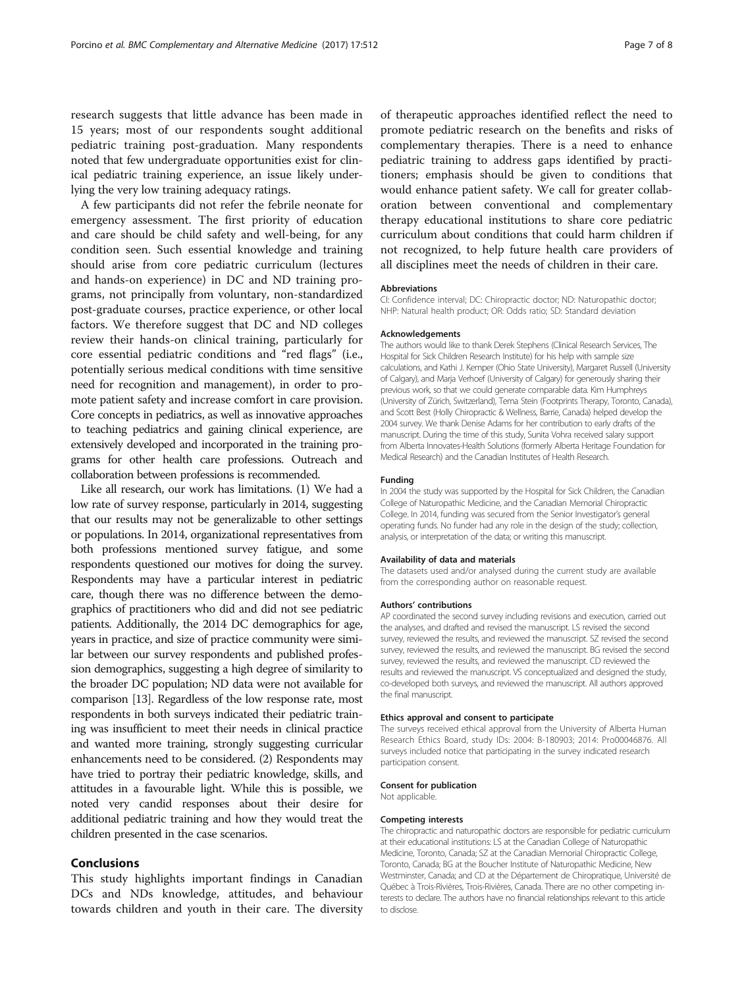research suggests that little advance has been made in 15 years; most of our respondents sought additional pediatric training post-graduation. Many respondents noted that few undergraduate opportunities exist for clinical pediatric training experience, an issue likely underlying the very low training adequacy ratings.

A few participants did not refer the febrile neonate for emergency assessment. The first priority of education and care should be child safety and well-being, for any condition seen. Such essential knowledge and training should arise from core pediatric curriculum (lectures and hands-on experience) in DC and ND training programs, not principally from voluntary, non-standardized post-graduate courses, practice experience, or other local factors. We therefore suggest that DC and ND colleges review their hands-on clinical training, particularly for core essential pediatric conditions and "red flags" (i.e., potentially serious medical conditions with time sensitive need for recognition and management), in order to promote patient safety and increase comfort in care provision. Core concepts in pediatrics, as well as innovative approaches to teaching pediatrics and gaining clinical experience, are extensively developed and incorporated in the training programs for other health care professions. Outreach and collaboration between professions is recommended.

Like all research, our work has limitations. (1) We had a low rate of survey response, particularly in 2014, suggesting that our results may not be generalizable to other settings or populations. In 2014, organizational representatives from both professions mentioned survey fatigue, and some respondents questioned our motives for doing the survey. Respondents may have a particular interest in pediatric care, though there was no difference between the demographics of practitioners who did and did not see pediatric patients. Additionally, the 2014 DC demographics for age, years in practice, and size of practice community were similar between our survey respondents and published profession demographics, suggesting a high degree of similarity to the broader DC population; ND data were not available for comparison [[13](#page-7-0)]. Regardless of the low response rate, most respondents in both surveys indicated their pediatric training was insufficient to meet their needs in clinical practice and wanted more training, strongly suggesting curricular enhancements need to be considered. (2) Respondents may have tried to portray their pediatric knowledge, skills, and attitudes in a favourable light. While this is possible, we noted very candid responses about their desire for additional pediatric training and how they would treat the children presented in the case scenarios.

#### Conclusions

This study highlights important findings in Canadian DCs and NDs knowledge, attitudes, and behaviour towards children and youth in their care. The diversity of therapeutic approaches identified reflect the need to promote pediatric research on the benefits and risks of complementary therapies. There is a need to enhance pediatric training to address gaps identified by practitioners; emphasis should be given to conditions that would enhance patient safety. We call for greater collaboration between conventional and complementary therapy educational institutions to share core pediatric curriculum about conditions that could harm children if not recognized, to help future health care providers of all disciplines meet the needs of children in their care.

#### Abbreviations

CI: Confidence interval; DC: Chiropractic doctor; ND: Naturopathic doctor; NHP: Natural health product; OR: Odds ratio; SD: Standard deviation

#### Acknowledgements

The authors would like to thank Derek Stephens (Clinical Research Services, The Hospital for Sick Children Research Institute) for his help with sample size calculations, and Kathi J. Kemper (Ohio State University), Margaret Russell (University of Calgary), and Marja Verhoef (University of Calgary) for generously sharing their previous work, so that we could generate comparable data. Kim Humphreys (University of Zürich, Switzerland), Tema Stein (Footprints Therapy, Toronto, Canada), and Scott Best (Holly Chiropractic & Wellness, Barrie, Canada) helped develop the 2004 survey. We thank Denise Adams for her contribution to early drafts of the manuscript. During the time of this study, Sunita Vohra received salary support from Alberta Innovates-Health Solutions (formerly Alberta Heritage Foundation for Medical Research) and the Canadian Institutes of Health Research.

#### Funding

In 2004 the study was supported by the Hospital for Sick Children, the Canadian College of Naturopathic Medicine, and the Canadian Memorial Chiropractic College. In 2014, funding was secured from the Senior Investigator's general operating funds. No funder had any role in the design of the study; collection, analysis, or interpretation of the data; or writing this manuscript.

#### Availability of data and materials

The datasets used and/or analysed during the current study are available from the corresponding author on reasonable request.

#### Authors' contributions

AP coordinated the second survey including revisions and execution, carried out the analyses, and drafted and revised the manuscript. LS revised the second survey, reviewed the results, and reviewed the manuscript. SZ revised the second survey, reviewed the results, and reviewed the manuscript. BG revised the second survey, reviewed the results, and reviewed the manuscript. CD reviewed the results and reviewed the manuscript. VS conceptualized and designed the study, co-developed both surveys, and reviewed the manuscript. All authors approved the final manuscript.

#### Ethics approval and consent to participate

The surveys received ethical approval from the University of Alberta Human Research Ethics Board, study IDs: 2004: B-180903; 2014: Pro00046876. All surveys included notice that participating in the survey indicated research participation consent.

#### Consent for publication

Not applicable.

#### Competing interests

The chiropractic and naturopathic doctors are responsible for pediatric curriculum at their educational institutions: LS at the Canadian College of Naturopathic Medicine, Toronto, Canada; SZ at the Canadian Memorial Chiropractic College, Toronto, Canada; BG at the Boucher Institute of Naturopathic Medicine, New Westminster, Canada; and CD at the Département de Chiropratique, Université de Québec à Trois-Rivières, Trois-Rivières, Canada. There are no other competing interests to declare. The authors have no financial relationships relevant to this article to disclose.